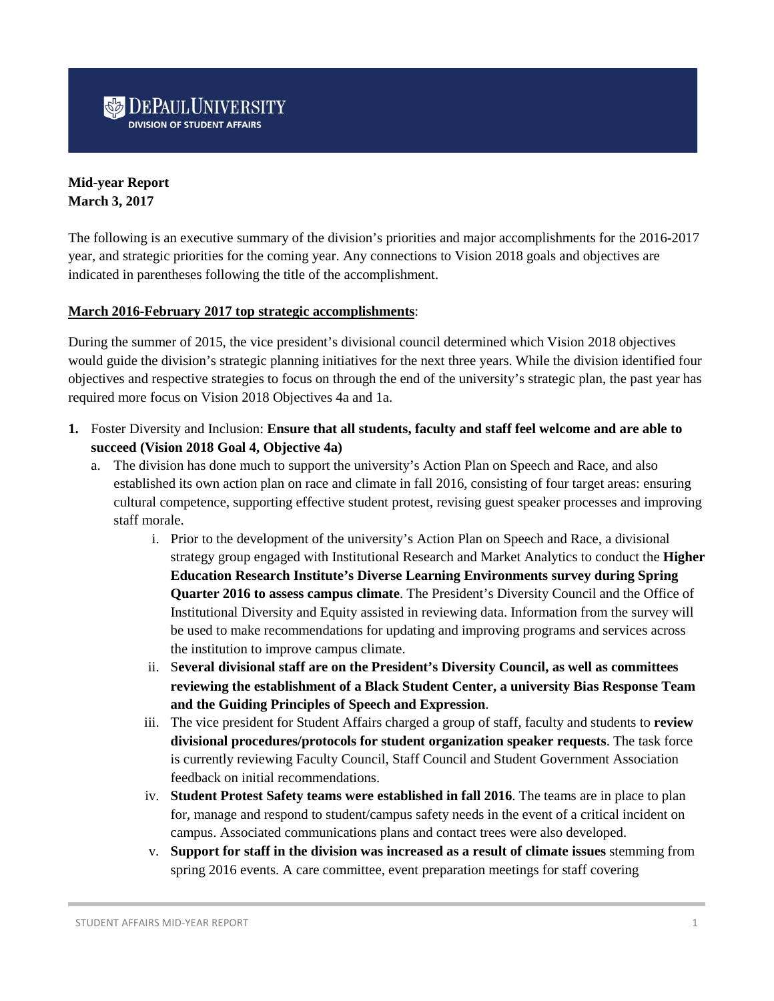# **DEPAUL UNIVERSITY**

# **Mid-year Report March 3, 2017**

The following is an executive summary of the division's priorities and major accomplishments for the 2016-2017 year, and strategic priorities for the coming year. Any connections to Vision 2018 goals and objectives are indicated in parentheses following the title of the accomplishment.

#### **March 2016-February 2017 top strategic accomplishments**:

During the summer of 2015, the vice president's divisional council determined which Vision 2018 objectives would guide the division's strategic planning initiatives for the next three years. While the division identified four objectives and respective strategies to focus on through the end of the university's strategic plan, the past year has required more focus on Vision 2018 Objectives 4a and 1a.

- **1.** Foster Diversity and Inclusion: **Ensure that all students, faculty and staff feel welcome and are able to succeed (Vision 2018 Goal 4, Objective 4a)**
	- a. The division has done much to support the university's Action Plan on Speech and Race, and also established its own action plan on race and climate in fall 2016, consisting of four target areas: ensuring cultural competence, supporting effective student protest, revising guest speaker processes and improving staff morale.
		- i. Prior to the development of the university's Action Plan on Speech and Race, a divisional strategy group engaged with Institutional Research and Market Analytics to conduct the **Higher Education Research Institute's Diverse Learning Environments survey during Spring Quarter 2016 to assess campus climate**. The President's Diversity Council and the Office of Institutional Diversity and Equity assisted in reviewing data. Information from the survey will be used to make recommendations for updating and improving programs and services across the institution to improve campus climate.
		- ii. S**everal divisional staff are on the President's Diversity Council, as well as committees reviewing the establishment of a Black Student Center, a university Bias Response Team and the Guiding Principles of Speech and Expression**.
		- iii. The vice president for Student Affairs charged a group of staff, faculty and students to **review divisional procedures/protocols for student organization speaker requests**. The task force is currently reviewing Faculty Council, Staff Council and Student Government Association feedback on initial recommendations.
		- iv. **Student Protest Safety teams were established in fall 2016**. The teams are in place to plan for, manage and respond to student/campus safety needs in the event of a critical incident on campus. Associated communications plans and contact trees were also developed.
		- v. **Support for staff in the division was increased as a result of climate issues** stemming from spring 2016 events. A care committee, event preparation meetings for staff covering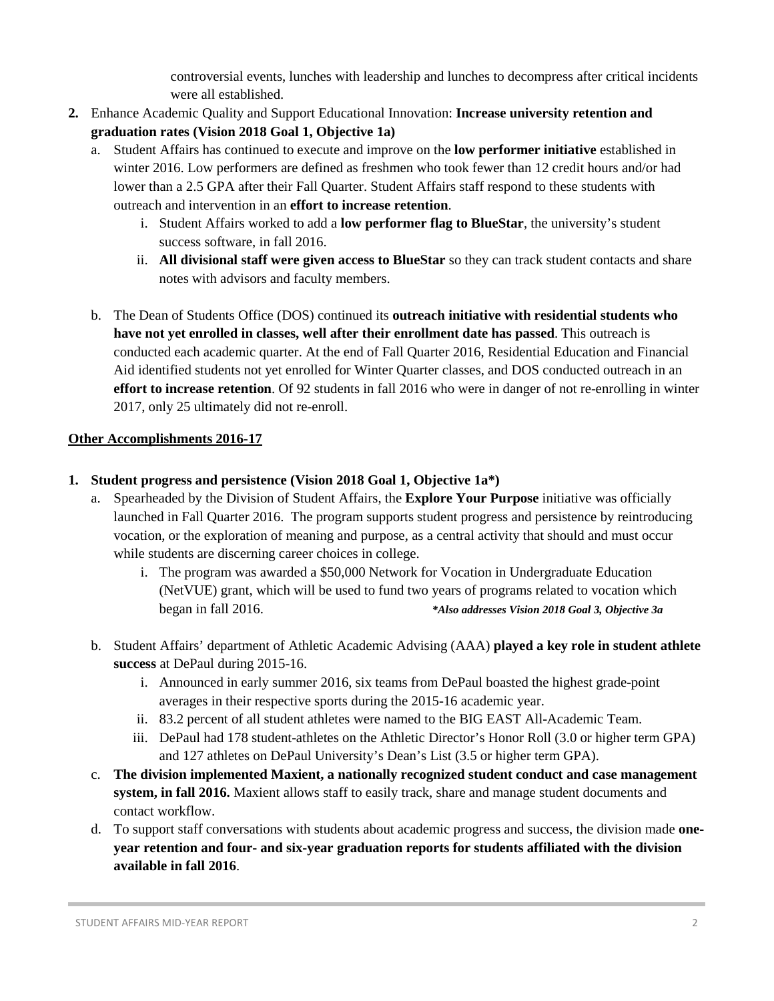controversial events, lunches with leadership and lunches to decompress after critical incidents were all established.

- **2.** Enhance Academic Quality and Support Educational Innovation: **Increase university retention and graduation rates (Vision 2018 Goal 1, Objective 1a)**
	- a. Student Affairs has continued to execute and improve on the **low performer initiative** established in winter 2016. Low performers are defined as freshmen who took fewer than 12 credit hours and/or had lower than a 2.5 GPA after their Fall Quarter. Student Affairs staff respond to these students with outreach and intervention in an **effort to increase retention**.
		- i. Student Affairs worked to add a **low performer flag to BlueStar**, the university's student success software, in fall 2016.
		- ii. **All divisional staff were given access to BlueStar** so they can track student contacts and share notes with advisors and faculty members.
	- b. The Dean of Students Office (DOS) continued its **outreach initiative with residential students who have not yet enrolled in classes, well after their enrollment date has passed**. This outreach is conducted each academic quarter. At the end of Fall Quarter 2016, Residential Education and Financial Aid identified students not yet enrolled for Winter Quarter classes, and DOS conducted outreach in an **effort to increase retention**. Of 92 students in fall 2016 who were in danger of not re-enrolling in winter 2017, only 25 ultimately did not re-enroll.

# **Other Accomplishments 2016-17**

# **1. Student progress and persistence (Vision 2018 Goal 1, Objective 1a\*)**

- a. Spearheaded by the Division of Student Affairs, the **Explore Your Purpose** initiative was officially launched in Fall Quarter 2016. The program supports student progress and persistence by reintroducing vocation, or the exploration of meaning and purpose, as a central activity that should and must occur while students are discerning career choices in college.
	- i. The program was awarded a \$50,000 Network for Vocation in Undergraduate Education (NetVUE) grant, which will be used to fund two years of programs related to vocation which began in fall 2016. *\*Also addresses Vision 2018 Goal 3, Objective 3a*
- b. Student Affairs' department of Athletic Academic Advising (AAA) **played a key role in student athlete success** at DePaul during 2015-16.
	- i. Announced in early summer 2016, six teams from DePaul boasted the highest grade-point averages in their respective sports during the 2015-16 academic year.
	- ii. 83.2 percent of all student athletes were named to the BIG EAST All-Academic Team.
	- iii. DePaul had 178 student-athletes on the Athletic Director's Honor Roll (3.0 or higher term GPA) and 127 athletes on DePaul University's Dean's List (3.5 or higher term GPA).
- c. **The division implemented Maxient, a nationally recognized student conduct and case management system, in fall 2016.** Maxient allows staff to easily track, share and manage student documents and contact workflow.
- d. To support staff conversations with students about academic progress and success, the division made **oneyear retention and four- and six-year graduation reports for students affiliated with the division available in fall 2016**.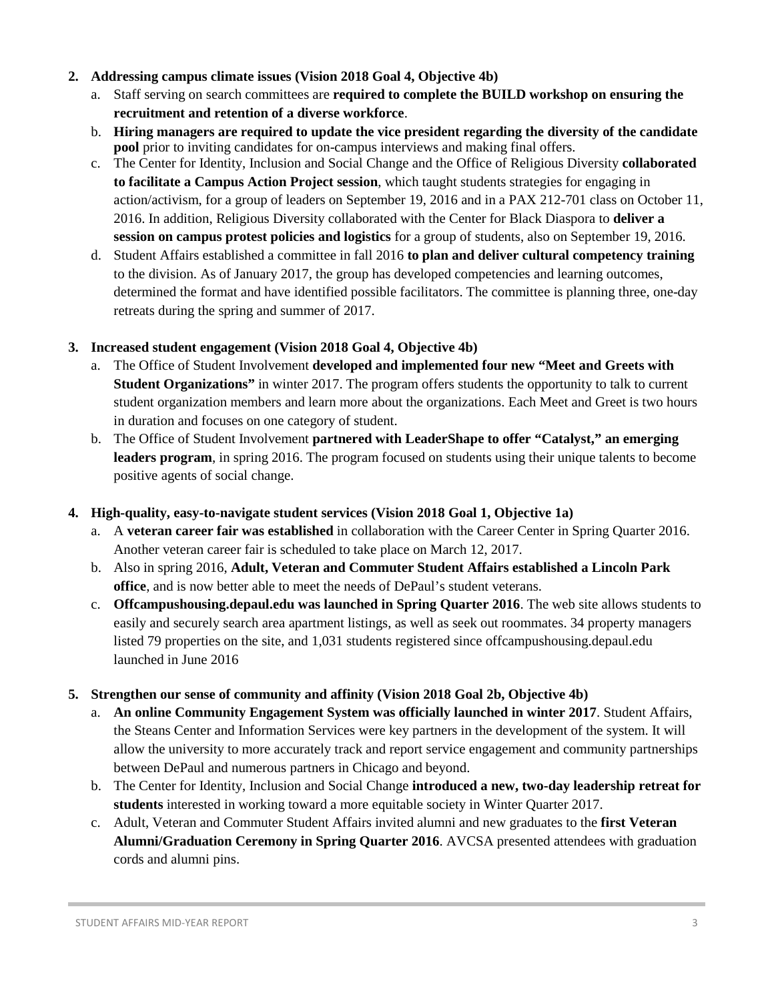### **2. Addressing campus climate issues (Vision 2018 Goal 4, Objective 4b)**

- a. Staff serving on search committees are **required to complete the BUILD workshop on ensuring the recruitment and retention of a diverse workforce**.
- b. **Hiring managers are required to update the vice president regarding the diversity of the candidate pool** prior to inviting candidates for on-campus interviews and making final offers.
- c. The Center for Identity, Inclusion and Social Change and the Office of Religious Diversity **collaborated to facilitate a Campus Action Project session**, which taught students strategies for engaging in action/activism, for a group of leaders on September 19, 2016 and in a PAX 212-701 class on October 11, 2016. In addition, Religious Diversity collaborated with the Center for Black Diaspora to **deliver a session on campus protest policies and logistics** for a group of students, also on September 19, 2016.
- d. Student Affairs established a committee in fall 2016 **to plan and deliver cultural competency training** to the division. As of January 2017, the group has developed competencies and learning outcomes, determined the format and have identified possible facilitators. The committee is planning three, one-day retreats during the spring and summer of 2017.

#### **3. Increased student engagement (Vision 2018 Goal 4, Objective 4b)**

- a. The Office of Student Involvement **developed and implemented four new "Meet and Greets with Student Organizations"** in winter 2017. The program offers students the opportunity to talk to current student organization members and learn more about the organizations. Each Meet and Greet is two hours in duration and focuses on one category of student.
- b. The Office of Student Involvement **partnered with LeaderShape to offer "Catalyst," an emerging leaders program**, in spring 2016. The program focused on students using their unique talents to become positive agents of social change.

## **4. High-quality, easy-to-navigate student services (Vision 2018 Goal 1, Objective 1a)**

- a. A **veteran career fair was established** in collaboration with the Career Center in Spring Quarter 2016. Another veteran career fair is scheduled to take place on March 12, 2017.
- b. Also in spring 2016, **Adult, Veteran and Commuter Student Affairs established a Lincoln Park office**, and is now better able to meet the needs of DePaul's student veterans.
- c. **Offcampushousing.depaul.edu was launched in Spring Quarter 2016**. The web site allows students to easily and securely search area apartment listings, as well as seek out roommates. 34 property managers listed 79 properties on the site, and 1,031 students registered since offcampushousing.depaul.edu launched in June 2016

## **5. Strengthen our sense of community and affinity (Vision 2018 Goal 2b, Objective 4b)**

- a. **An online Community Engagement System was officially launched in winter 2017**. Student Affairs, the Steans Center and Information Services were key partners in the development of the system. It will allow the university to more accurately track and report service engagement and community partnerships between DePaul and numerous partners in Chicago and beyond.
- b. The Center for Identity, Inclusion and Social Change **introduced a new, two-day leadership retreat for students** interested in working toward a more equitable society in Winter Quarter 2017.
- c. Adult, Veteran and Commuter Student Affairs invited alumni and new graduates to the **first Veteran Alumni/Graduation Ceremony in Spring Quarter 2016**. AVCSA presented attendees with graduation cords and alumni pins.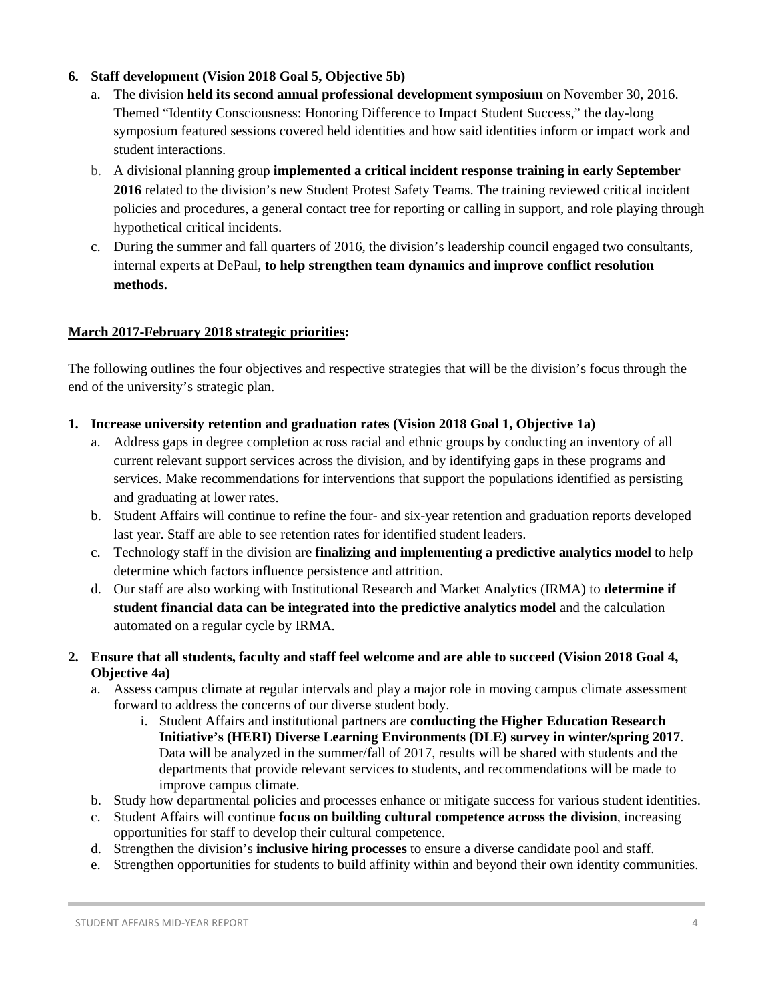# **6. Staff development (Vision 2018 Goal 5, Objective 5b)**

- a. The division **held its second annual professional development symposium** on November 30, 2016. Themed "Identity Consciousness: Honoring Difference to Impact Student Success," the day-long symposium featured sessions covered held identities and how said identities inform or impact work and student interactions.
- b. A divisional planning group **implemented a critical incident response training in early September 2016** related to the division's new Student Protest Safety Teams. The training reviewed critical incident policies and procedures, a general contact tree for reporting or calling in support, and role playing through hypothetical critical incidents.
- c. During the summer and fall quarters of 2016, the division's leadership council engaged two consultants, internal experts at DePaul, **to help strengthen team dynamics and improve conflict resolution methods.**

#### **March 2017-February 2018 strategic priorities:**

The following outlines the four objectives and respective strategies that will be the division's focus through the end of the university's strategic plan.

- **1. Increase university retention and graduation rates (Vision 2018 Goal 1, Objective 1a)**
	- a. Address gaps in degree completion across racial and ethnic groups by conducting an inventory of all current relevant support services across the division, and by identifying gaps in these programs and services. Make recommendations for interventions that support the populations identified as persisting and graduating at lower rates.
	- b. Student Affairs will continue to refine the four- and six-year retention and graduation reports developed last year. Staff are able to see retention rates for identified student leaders.
	- c. Technology staff in the division are **finalizing and implementing a predictive analytics model** to help determine which factors influence persistence and attrition.
	- d. Our staff are also working with Institutional Research and Market Analytics (IRMA) to **determine if student financial data can be integrated into the predictive analytics model** and the calculation automated on a regular cycle by IRMA.
- **2. Ensure that all students, faculty and staff feel welcome and are able to succeed (Vision 2018 Goal 4, Objective 4a)**
	- a. Assess campus climate at regular intervals and play a major role in moving campus climate assessment forward to address the concerns of our diverse student body.
		- i. Student Affairs and institutional partners are **conducting the Higher Education Research Initiative's (HERI) Diverse Learning Environments (DLE) survey in winter/spring 2017**. Data will be analyzed in the summer/fall of 2017, results will be shared with students and the departments that provide relevant services to students, and recommendations will be made to improve campus climate.
	- b. Study how departmental policies and processes enhance or mitigate success for various student identities.
	- c. Student Affairs will continue **focus on building cultural competence across the division**, increasing opportunities for staff to develop their cultural competence.
	- d. Strengthen the division's **inclusive hiring processes** to ensure a diverse candidate pool and staff.
	- e. Strengthen opportunities for students to build affinity within and beyond their own identity communities.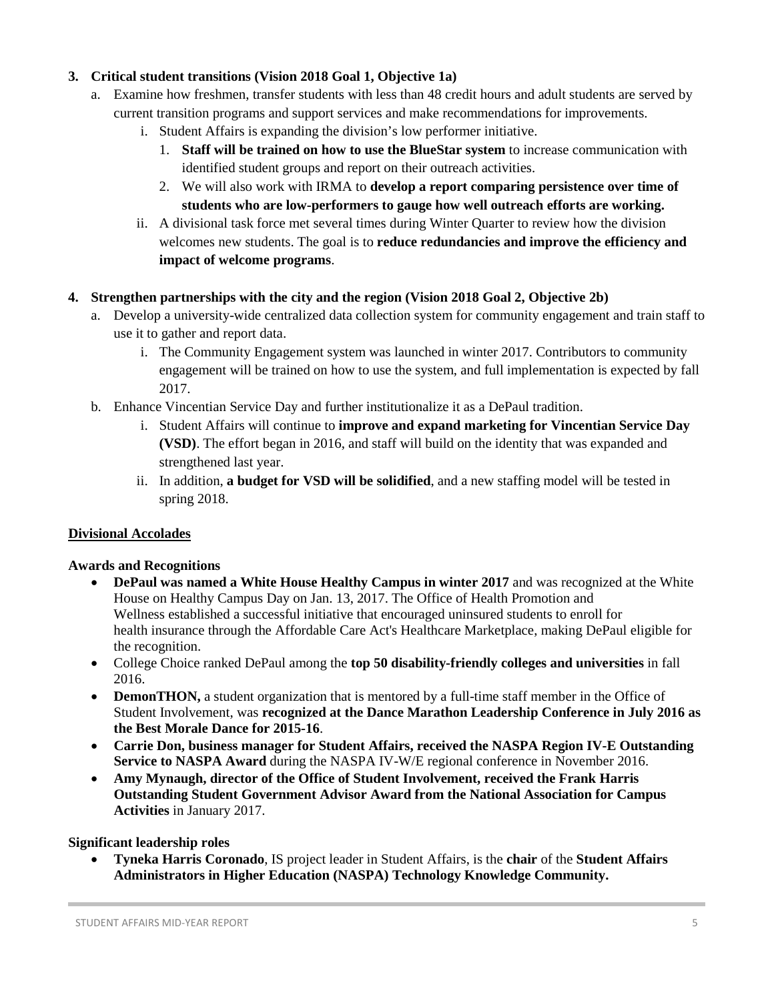# **3. Critical student transitions (Vision 2018 Goal 1, Objective 1a)**

- a. Examine how freshmen, transfer students with less than 48 credit hours and adult students are served by current transition programs and support services and make recommendations for improvements.
	- i. Student Affairs is expanding the division's low performer initiative.
		- 1. **Staff will be trained on how to use the BlueStar system** to increase communication with identified student groups and report on their outreach activities.
		- 2. We will also work with IRMA to **develop a report comparing persistence over time of students who are low-performers to gauge how well outreach efforts are working.**
	- ii. A divisional task force met several times during Winter Quarter to review how the division welcomes new students. The goal is to **reduce redundancies and improve the efficiency and impact of welcome programs**.

#### **4. Strengthen partnerships with the city and the region (Vision 2018 Goal 2, Objective 2b)**

- a. Develop a university-wide centralized data collection system for community engagement and train staff to use it to gather and report data.
	- i. The Community Engagement system was launched in winter 2017. Contributors to community engagement will be trained on how to use the system, and full implementation is expected by fall 2017.
- b. Enhance Vincentian Service Day and further institutionalize it as a DePaul tradition.
	- i. Student Affairs will continue to **improve and expand marketing for Vincentian Service Day (VSD)**. The effort began in 2016, and staff will build on the identity that was expanded and strengthened last year.
	- ii. In addition, **a budget for VSD will be solidified**, and a new staffing model will be tested in spring 2018.

#### **Divisional Accolades**

#### **Awards and Recognitions**

- **DePaul was named a White House Healthy Campus in winter 2017** and was recognized at the White House on Healthy Campus Day on Jan. 13, 2017. The Office of Health Promotion and Wellness established a successful initiative that encouraged uninsured students to enroll for health insurance through the Affordable Care Act's Healthcare Marketplace, making DePaul eligible for the recognition.
- College Choice ranked DePaul among the **top 50 disability-friendly colleges and universities** in fall 2016.
- **DemonTHON,** a student organization that is mentored by a full-time staff member in the Office of Student Involvement, was **recognized at the Dance Marathon Leadership Conference in July 2016 as the Best Morale Dance for 2015-16**.
- **Carrie Don, business manager for Student Affairs, received the NASPA Region IV-E Outstanding Service to NASPA Award** during the NASPA IV-W/E regional conference in November 2016.
- **Amy Mynaugh, director of the Office of Student Involvement, received the Frank Harris Outstanding Student Government Advisor Award from the National Association for Campus Activities** in January 2017.

#### **Significant leadership roles**

• **Tyneka Harris Coronado**, IS project leader in Student Affairs, is the **chair** of the **Student Affairs Administrators in Higher Education (NASPA) Technology Knowledge Community.**